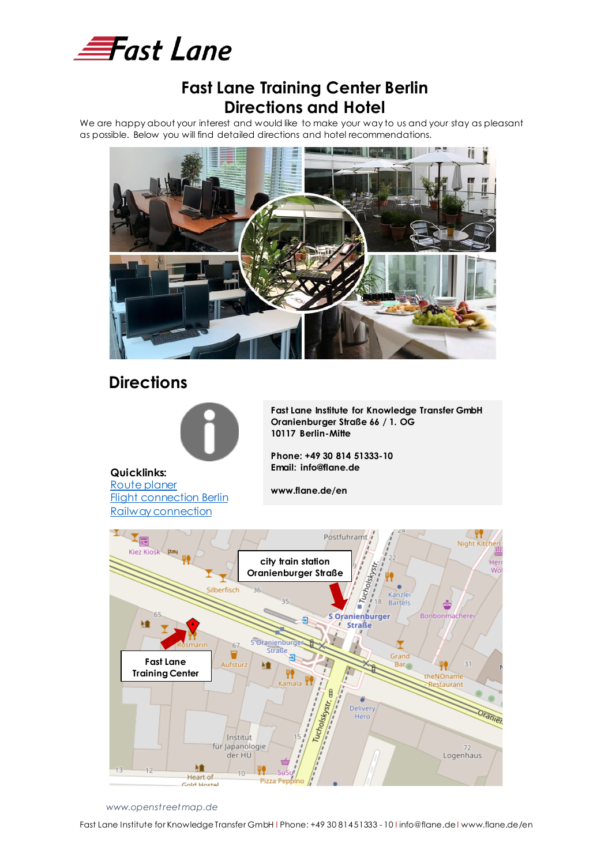

### **Fast Lane Training Center Berlin Directions and Hotel**

We are happy about your interest and would like to make your way to us and your stay as pleasant as possible. Below you will find detailed directions and hotel recommendations.



# **Directions**



**Fast Lane Institute for Knowledge Transfer GmbH Oranienburger Straße 66 / 1. OG 10117 Berlin-Mitte**

**Phone: +49 30 814 51333-10 Email: info@flane.de**

**Quicklinks:** [Route planer](https://www.google.com/maps/dir/Oranienburger+Str.+66,+10117+Berlin/@52.5593979,13.3257376,13z/data=!4m9!4m8!1m0!1m5!1m1!1s0x47a851e8670ddd69:0x9cb79a4986243bf2!2m2!1d13.391681!2d52.5250246!3e0) **[Flight connection Berlin](https://www.berlin-airport.de/en/index.php)** 

[Railway connection](https://reiseauskunft.bahn.de/bin/query.exe/en?ld=3827&country=DEU&protocol=https:&seqnr=1&ident=nb.03166827.1571986557&rt=1&newrequest=yes&&country=GBR)

**www.flane.de/en**



 *www.openstreetmap.de*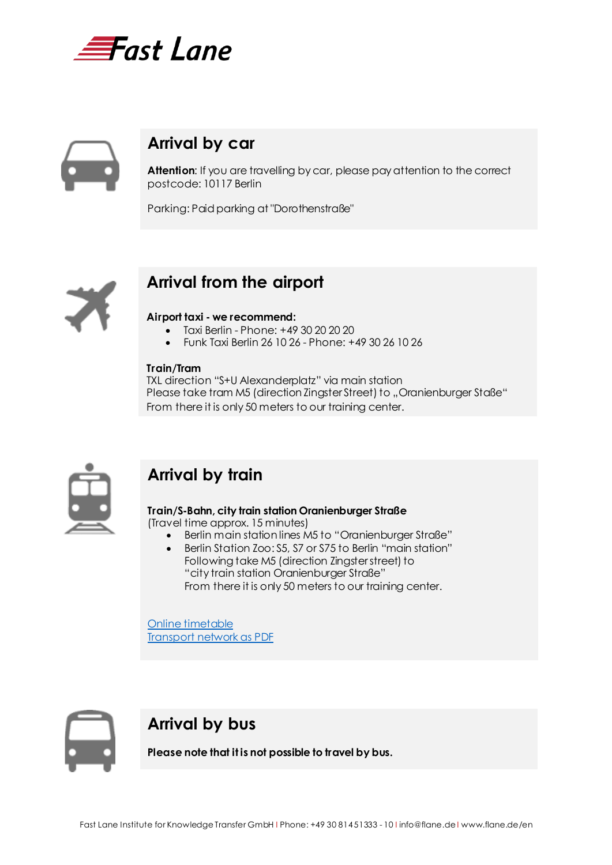



# **Arrival by car**

**Attention**: If you are travelling by car, please pay attention to the correct postcode: 10117 Berlin

Parking: Paid parking at "Dorothenstraße"



# **Arrival from the airport**

#### **Airport taxi - we recommend:**

- Taxi Berlin Phone: +49 30 20 20 20
- Funk Taxi Berlin 26 10 26 Phone: +49 30 26 10 26

#### **Train/Tram**

TXL direction "S+U Alexanderplatz" via main station Please take tram M5 (direction Zingster Street) to "Oranienburger Staße" From there it is only 50 meters to our training center.



# **Arrival by train**

#### **Train/S-Bahn, city train station Oranienburger Straße**

(Travel time approx. 15 minutes)

- Berlin main station lines M5 to "Oranienburger Straße"
- Berlin Station Zoo: S5, S7 or S75 to Berlin "main station" Following take M5 (direction Zingster street) to "city train station Oranienburger Straße" From there it is only 50 meters to our training center.

[Online timetable](https://fahrinfo.bvg.de/Fahrinfo/bin/query.bin/en?ld=6.113&protocol=http:&seqnr=1&ident=hh.06135113.1571751716&) [Transport network as](https://fahrinfo.bvg.de/Fahrinfo/bin/query.bin/dn?&ujm=1) PDF



### **Arrival by bus**

**Please note that it is not possible to travel by bus.**